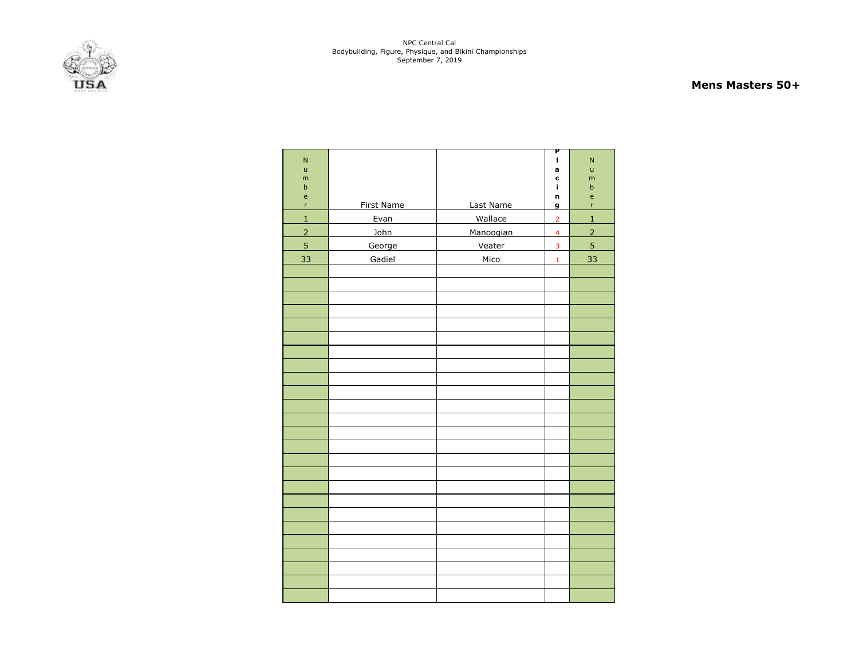

#### **Mens Masters 50+**

| $\overline{N}$               |            |           | Ρ<br>ı         | $\mathsf{N}$                            |
|------------------------------|------------|-----------|----------------|-----------------------------------------|
| ū                            |            |           | a              | ū                                       |
| m                            |            |           | C              | m                                       |
| $\sf b$                      |            |           | i.             | b                                       |
| $\mathsf{e}\mathsf{ }$<br>'n | First Name | Last Name | n              | $\mathsf{e}% _{t}\left( t\right)$<br>'n |
|                              |            |           | g              |                                         |
| $\overline{1}$               | Evan       | Wallace   | $\overline{2}$ | $\overline{1}$                          |
| $\overline{2}$               | John       | Manoogian | $\overline{4}$ | $\overline{2}$                          |
| 5                            | George     | Veater    | 3              | 5                                       |
| 33                           | Gadiel     | Mico      | $\mathbf 1$    | 33                                      |
|                              |            |           |                |                                         |
|                              |            |           |                |                                         |
|                              |            |           |                |                                         |
|                              |            |           |                |                                         |
|                              |            |           |                |                                         |
|                              |            |           |                |                                         |
|                              |            |           |                |                                         |
|                              |            |           |                |                                         |
|                              |            |           |                |                                         |
|                              |            |           |                |                                         |
|                              |            |           |                |                                         |
|                              |            |           |                |                                         |
|                              |            |           |                |                                         |
|                              |            |           |                |                                         |
|                              |            |           |                |                                         |
|                              |            |           |                |                                         |
|                              |            |           |                |                                         |
|                              |            |           |                |                                         |
|                              |            |           |                |                                         |
|                              |            |           |                |                                         |
|                              |            |           |                |                                         |
|                              |            |           |                |                                         |
|                              |            |           |                |                                         |
|                              |            |           |                |                                         |
|                              |            |           |                |                                         |
|                              |            |           |                |                                         |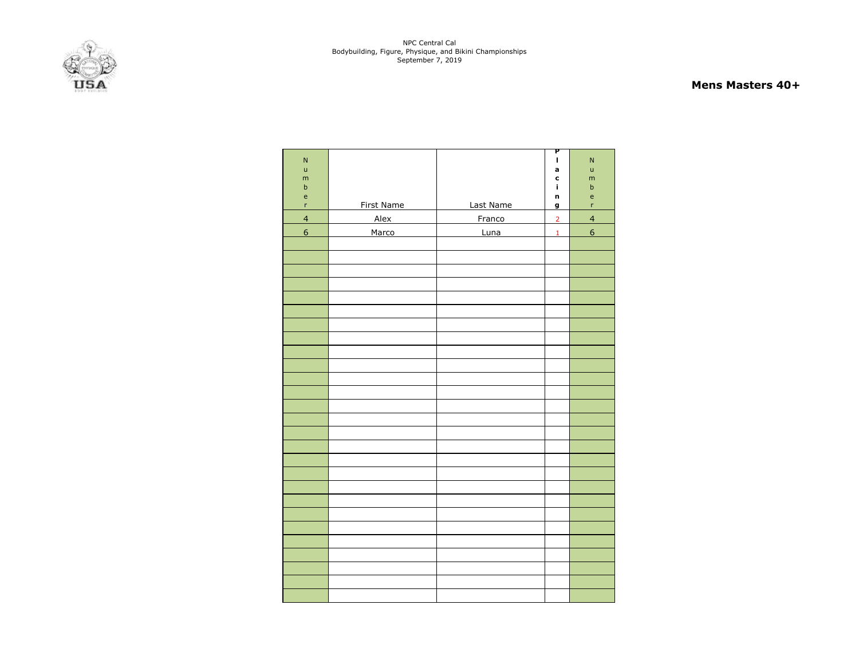

#### **Mens Masters 40+**

|                                            |                   |           | P              |                                   |
|--------------------------------------------|-------------------|-----------|----------------|-----------------------------------|
| ${\sf N}$                                  |                   |           | $\mathbf{I}$   | $\mathsf{N}$                      |
| $\sf u$                                    |                   |           | a              | ū                                 |
| m                                          |                   |           | c              | m                                 |
| $\sf b$                                    |                   |           | i.             | $\sf b$                           |
| $\mathsf{e}% _{0}\left( \mathsf{e}\right)$ |                   |           | n              | $\mathsf{e}% _{t}\left( t\right)$ |
| r                                          | <b>First Name</b> | Last Name | g              | $\mathsf{r}$                      |
| $\overline{4}$                             | Alex              | Franco    | $\overline{2}$ | $\overline{4}$                    |
| $\boldsymbol{6}$                           | Marco             | Luna      | $\mathbf{1}$   | $\mathbf 6$                       |
|                                            |                   |           |                |                                   |
|                                            |                   |           |                |                                   |
|                                            |                   |           |                |                                   |
|                                            |                   |           |                |                                   |
|                                            |                   |           |                |                                   |
|                                            |                   |           |                |                                   |
|                                            |                   |           |                |                                   |
|                                            |                   |           |                |                                   |
|                                            |                   |           |                |                                   |
|                                            |                   |           |                |                                   |
|                                            |                   |           |                |                                   |
|                                            |                   |           |                |                                   |
|                                            |                   |           |                |                                   |
|                                            |                   |           |                |                                   |
|                                            |                   |           |                |                                   |
|                                            |                   |           |                |                                   |
|                                            |                   |           |                |                                   |
|                                            |                   |           |                |                                   |
|                                            |                   |           |                |                                   |
|                                            |                   |           |                |                                   |
|                                            |                   |           |                |                                   |
|                                            |                   |           |                |                                   |
|                                            |                   |           |                |                                   |
|                                            |                   |           |                |                                   |
|                                            |                   |           |                |                                   |
|                                            |                   |           |                |                                   |
|                                            |                   |           |                |                                   |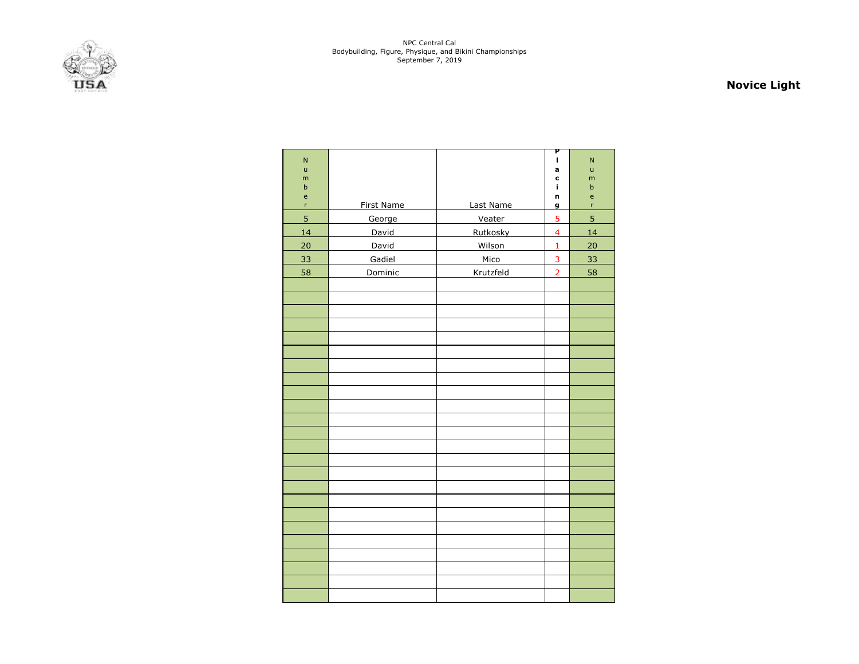

# **Novice Light**

| $\mathsf{N}$   |                   |           | Р<br>г                  | $\mathsf{N}$ |
|----------------|-------------------|-----------|-------------------------|--------------|
| ū              |                   |           | a                       | ū            |
| m<br>b         |                   |           | $\mathbf c$<br>i,       | m<br>$\sf b$ |
| $\mathsf{e}\,$ |                   |           | n                       | e            |
| $\mathsf{r}$   | <b>First Name</b> | Last Name | g                       | r            |
| 5              | George            | Veater    | 5                       | 5            |
| 14             | David             | Rutkosky  | $\overline{\mathbf{4}}$ | 14           |
| 20             | David             | Wilson    | $\mathbf 1$             | 20           |
| 33             | Gadiel            | Mico      | 3                       | 33           |
| 58             | Dominic           | Krutzfeld | $\overline{2}$          | 58           |
|                |                   |           |                         |              |
|                |                   |           |                         |              |
|                |                   |           |                         |              |
|                |                   |           |                         |              |
|                |                   |           |                         |              |
|                |                   |           |                         |              |
|                |                   |           |                         |              |
|                |                   |           |                         |              |
|                |                   |           |                         |              |
|                |                   |           |                         |              |
|                |                   |           |                         |              |
|                |                   |           |                         |              |
|                |                   |           |                         |              |
|                |                   |           |                         |              |
|                |                   |           |                         |              |
|                |                   |           |                         |              |
|                |                   |           |                         |              |
|                |                   |           |                         |              |
|                |                   |           |                         |              |
|                |                   |           |                         |              |
|                |                   |           |                         |              |
|                |                   |           |                         |              |
|                |                   |           |                         |              |
|                |                   |           |                         |              |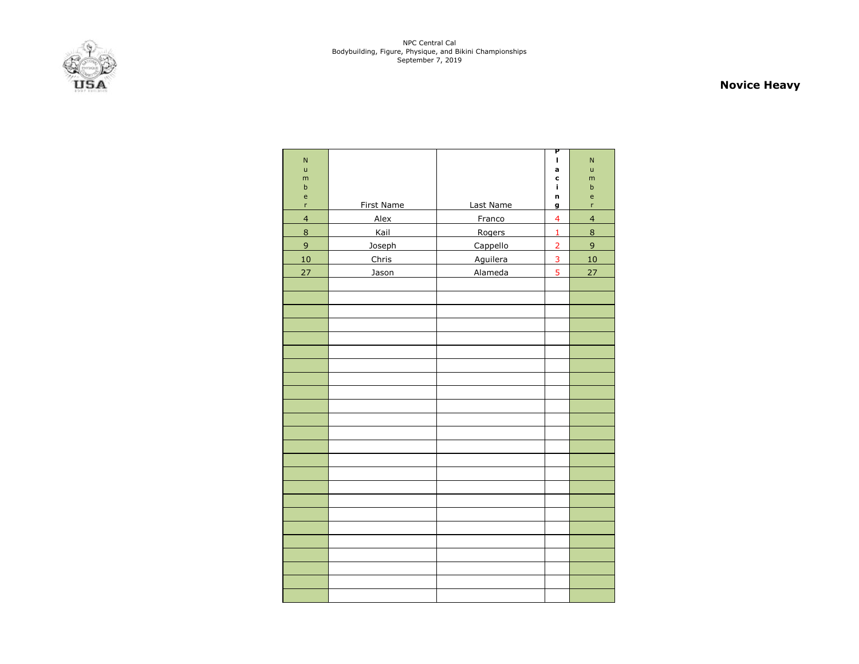

# **Novice Heavy**

| ${\sf N}$      |                   |           | P<br>L                  | $\mathsf{N}$              |
|----------------|-------------------|-----------|-------------------------|---------------------------|
| ū              |                   |           | a                       | ū                         |
| m              |                   |           | $\mathbf c$             | m                         |
| $\sf b$<br>e   |                   |           | i<br>n                  | $\sf b$<br>$\mathsf{e}\,$ |
| r              | <b>First Name</b> | Last Name | $\mathbf g$             | r                         |
| $\overline{4}$ | Alex              | Franco    | $\overline{\mathbf{4}}$ | $\overline{4}$            |
| $\bf8$         | Kail              | Rogers    | $\mathbf{1}$            | $\bf 8$                   |
| 9              | Joseph            | Cappello  | $\overline{2}$          | $\overline{9}$            |
| 10             | Chris             | Aguilera  | 3                       | 10                        |
| 27             | Jason             | Alameda   | 5                       | 27                        |
|                |                   |           |                         |                           |
|                |                   |           |                         |                           |
|                |                   |           |                         |                           |
|                |                   |           |                         |                           |
|                |                   |           |                         |                           |
|                |                   |           |                         |                           |
|                |                   |           |                         |                           |
|                |                   |           |                         |                           |
|                |                   |           |                         |                           |
|                |                   |           |                         |                           |
|                |                   |           |                         |                           |
|                |                   |           |                         |                           |
|                |                   |           |                         |                           |
|                |                   |           |                         |                           |
|                |                   |           |                         |                           |
|                |                   |           |                         |                           |
|                |                   |           |                         |                           |
|                |                   |           |                         |                           |
|                |                   |           |                         |                           |
|                |                   |           |                         |                           |
|                |                   |           |                         |                           |
|                |                   |           |                         |                           |
|                |                   |           |                         |                           |
|                |                   |           |                         |                           |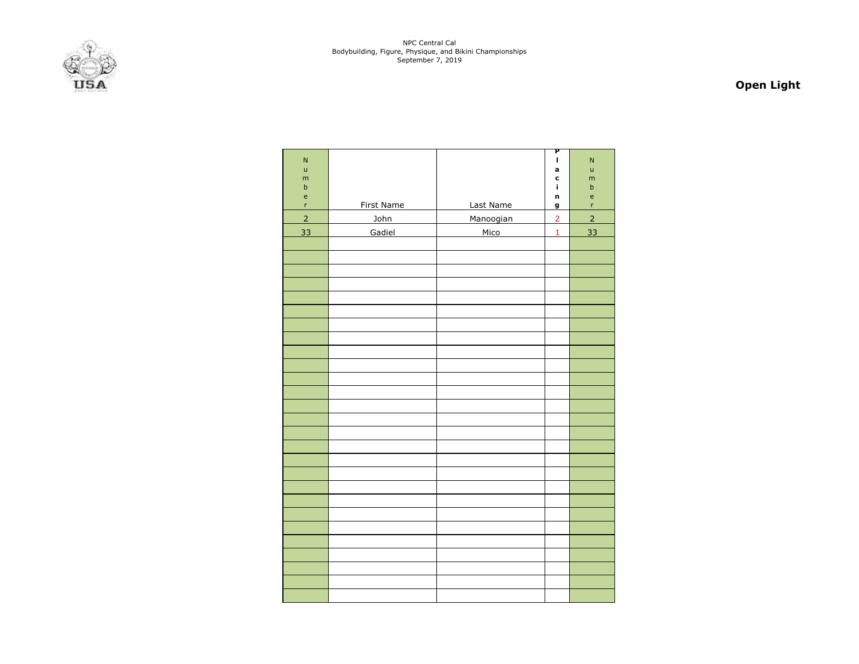

# **Open Light**

| ${\sf N}$<br>ū<br>m<br>$\sf b$<br>$\mathsf{e}% _{0}\left( \mathsf{e}\right)$ |            |           | P<br>$\mathbf{I}$<br>a<br>c<br>i,<br>n | $\overline{N}$<br>ū<br>m<br>$\sf b$<br>$\mathsf{e}% _{0}\left( \mathsf{e}\right)$ |
|------------------------------------------------------------------------------|------------|-----------|----------------------------------------|-----------------------------------------------------------------------------------|
| $\mathsf{r}$                                                                 | First Name | Last Name | g                                      | 'n                                                                                |
| $\overline{2}$                                                               | John       | Manoogian | $\overline{2}$                         | $\overline{2}$                                                                    |
| 33                                                                           | Gadiel     | Mico      | $\mathbf{1}$                           | 33                                                                                |
|                                                                              |            |           |                                        |                                                                                   |
|                                                                              |            |           |                                        |                                                                                   |
|                                                                              |            |           |                                        |                                                                                   |
|                                                                              |            |           |                                        |                                                                                   |
|                                                                              |            |           |                                        |                                                                                   |
|                                                                              |            |           |                                        |                                                                                   |
|                                                                              |            |           |                                        |                                                                                   |
|                                                                              |            |           |                                        |                                                                                   |
|                                                                              |            |           |                                        |                                                                                   |
|                                                                              |            |           |                                        |                                                                                   |
|                                                                              |            |           |                                        |                                                                                   |
|                                                                              |            |           |                                        |                                                                                   |
|                                                                              |            |           |                                        |                                                                                   |
|                                                                              |            |           |                                        |                                                                                   |
|                                                                              |            |           |                                        |                                                                                   |
|                                                                              |            |           |                                        |                                                                                   |
|                                                                              |            |           |                                        |                                                                                   |
|                                                                              |            |           |                                        |                                                                                   |
|                                                                              |            |           |                                        |                                                                                   |
|                                                                              |            |           |                                        |                                                                                   |
|                                                                              |            |           |                                        |                                                                                   |
|                                                                              |            |           |                                        |                                                                                   |
|                                                                              |            |           |                                        |                                                                                   |
|                                                                              |            |           |                                        |                                                                                   |
|                                                                              |            |           |                                        |                                                                                   |
|                                                                              |            |           |                                        |                                                                                   |
|                                                                              |            |           |                                        |                                                                                   |
|                                                                              |            |           |                                        |                                                                                   |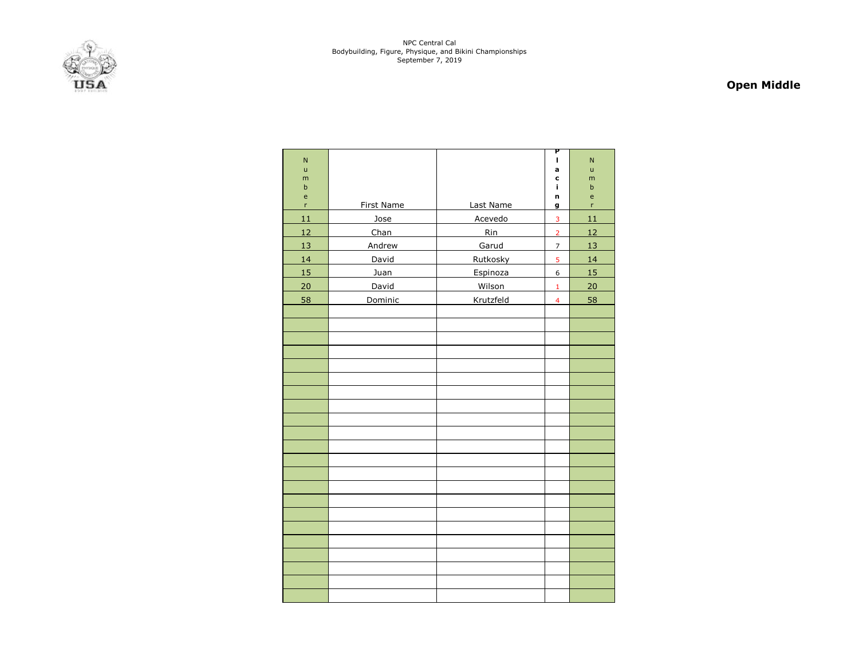

# **Open Middle**

| $\mathsf{N}$              |                   |           | P<br>г                  | $\mathsf{N}$                                    |
|---------------------------|-------------------|-----------|-------------------------|-------------------------------------------------|
| ū                         |                   |           | a                       | ū                                               |
| m                         |                   |           | C                       | m                                               |
| $\sf b$<br>$\mathsf{e}\,$ |                   |           | i<br>n                  | b<br>$\mathsf{e}% _{0}\left( \mathsf{e}\right)$ |
| r                         | <b>First Name</b> | Last Name | g                       | r                                               |
| 11                        | Jose              | Acevedo   | $\overline{3}$          | 11                                              |
| 12                        | Chan              | Rin       | $\overline{2}$          | 12                                              |
| 13                        | Andrew            | Garud     | $\overline{7}$          | 13                                              |
| 14                        | David             | Rutkosky  | $\overline{5}$          | 14                                              |
| 15                        | Juan              | Espinoza  | 6                       | 15                                              |
| 20                        | David             | Wilson    | $\mathbf{1}$            | 20                                              |
| 58                        | Dominic           | Krutzfeld | $\overline{\mathbf{4}}$ | 58                                              |
|                           |                   |           |                         |                                                 |
|                           |                   |           |                         |                                                 |
|                           |                   |           |                         |                                                 |
|                           |                   |           |                         |                                                 |
|                           |                   |           |                         |                                                 |
|                           |                   |           |                         |                                                 |
|                           |                   |           |                         |                                                 |
|                           |                   |           |                         |                                                 |
|                           |                   |           |                         |                                                 |
|                           |                   |           |                         |                                                 |
|                           |                   |           |                         |                                                 |
|                           |                   |           |                         |                                                 |
|                           |                   |           |                         |                                                 |
|                           |                   |           |                         |                                                 |
|                           |                   |           |                         |                                                 |
|                           |                   |           |                         |                                                 |
|                           |                   |           |                         |                                                 |
|                           |                   |           |                         |                                                 |
|                           |                   |           |                         |                                                 |
|                           |                   |           |                         |                                                 |
|                           |                   |           |                         |                                                 |
|                           |                   |           |                         |                                                 |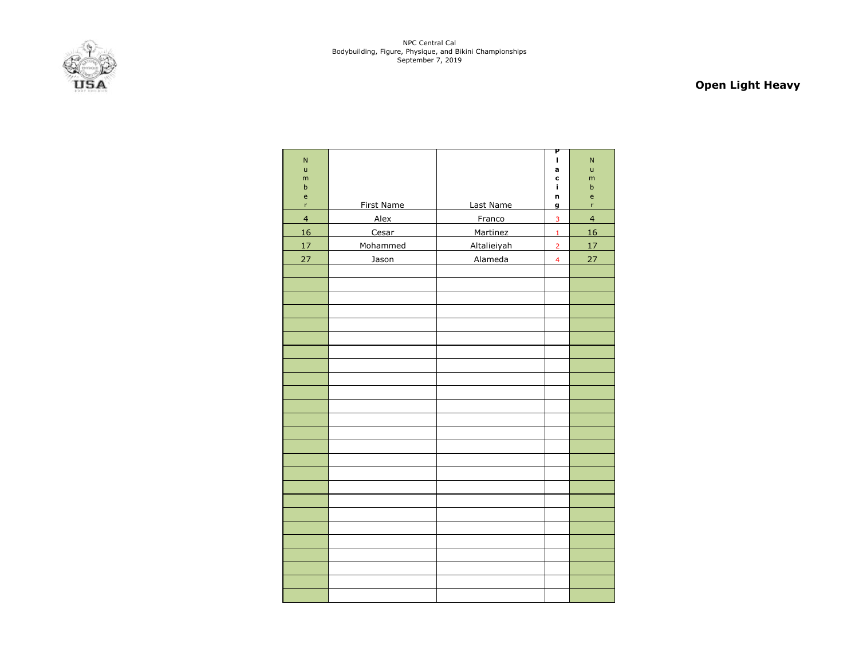

# **Open Light Heavy**

|                           |            |             | P                       |                                   |
|---------------------------|------------|-------------|-------------------------|-----------------------------------|
| ${\sf N}$<br>$\mathsf{u}$ |            |             | $\mathbf{I}$<br>a       | $\mathsf{N}$<br>u                 |
| m                         |            |             | C                       | m                                 |
| $\sf b$                   |            |             | i                       | $\sf b$                           |
| e                         |            |             | n                       | $\mathsf{e}% _{t}\left( t\right)$ |
| r                         | First Name | Last Name   | g                       | r.                                |
| $\overline{\mathbf{4}}$   | Alex       | Franco      | $\overline{\mathbf{3}}$ | $\overline{4}$                    |
| 16                        | Cesar      | Martinez    | $\mathbf 1$             | 16                                |
| 17                        | Mohammed   | Altalieiyah | $\overline{2}$          | 17                                |
| 27                        | Jason      | Alameda     | $\overline{4}$          | 27                                |
|                           |            |             |                         |                                   |
|                           |            |             |                         |                                   |
|                           |            |             |                         |                                   |
|                           |            |             |                         |                                   |
|                           |            |             |                         |                                   |
|                           |            |             |                         |                                   |
|                           |            |             |                         |                                   |
|                           |            |             |                         |                                   |
|                           |            |             |                         |                                   |
|                           |            |             |                         |                                   |
|                           |            |             |                         |                                   |
|                           |            |             |                         |                                   |
|                           |            |             |                         |                                   |
|                           |            |             |                         |                                   |
|                           |            |             |                         |                                   |
|                           |            |             |                         |                                   |
|                           |            |             |                         |                                   |
|                           |            |             |                         |                                   |
|                           |            |             |                         |                                   |
|                           |            |             |                         |                                   |
|                           |            |             |                         |                                   |
|                           |            |             |                         |                                   |
|                           |            |             |                         |                                   |
|                           |            |             |                         |                                   |
|                           |            |             |                         |                                   |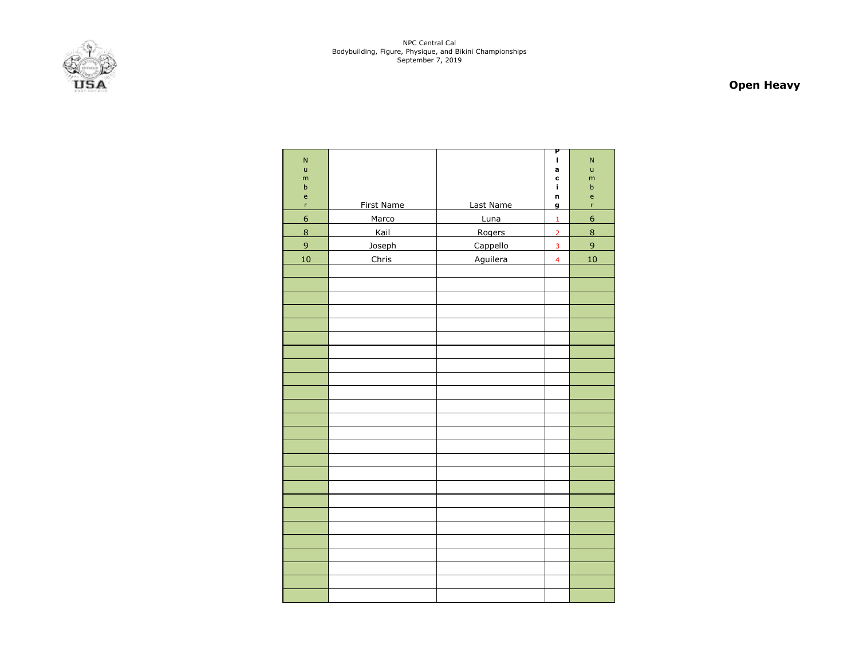

# **Open Heavy**

| $\overline{N}$                             |                   |           | P<br>L                  | $\mathsf{N}$                                   |
|--------------------------------------------|-------------------|-----------|-------------------------|------------------------------------------------|
| $\mathsf{u}$                               |                   |           | a                       | ū                                              |
| m                                          |                   |           | C                       | m                                              |
| $\sf b$                                    |                   |           | i,                      | $\sf b$                                        |
| $\mathsf{e}% _{0}\left( \mathsf{e}\right)$ |                   |           | n                       | $\mathsf{e}% _{0}\left( \mathsf{e}_{0}\right)$ |
| r                                          | <b>First Name</b> | Last Name | g                       | r                                              |
| $\overline{6}$                             | Marco             | Luna      | $\mathbf 1$             | $6 \overline{}$                                |
| $\overline{8}$                             | Kail              | Rogers    | $\overline{2}$          | $\overline{8}$                                 |
| $\overline{9}$                             | Joseph            | Cappello  | $\overline{\mathbf{3}}$ | $\overline{9}$                                 |
| 10                                         | Chris             | Aguilera  | $\overline{4}$          | 10                                             |
|                                            |                   |           |                         |                                                |
|                                            |                   |           |                         |                                                |
|                                            |                   |           |                         |                                                |
|                                            |                   |           |                         |                                                |
|                                            |                   |           |                         |                                                |
|                                            |                   |           |                         |                                                |
|                                            |                   |           |                         |                                                |
|                                            |                   |           |                         |                                                |
|                                            |                   |           |                         |                                                |
|                                            |                   |           |                         |                                                |
|                                            |                   |           |                         |                                                |
|                                            |                   |           |                         |                                                |
|                                            |                   |           |                         |                                                |
|                                            |                   |           |                         |                                                |
|                                            |                   |           |                         |                                                |
|                                            |                   |           |                         |                                                |
|                                            |                   |           |                         |                                                |
|                                            |                   |           |                         |                                                |
|                                            |                   |           |                         |                                                |
|                                            |                   |           |                         |                                                |
|                                            |                   |           |                         |                                                |
|                                            |                   |           |                         |                                                |
|                                            |                   |           |                         |                                                |
|                                            |                   |           |                         |                                                |
|                                            |                   |           |                         |                                                |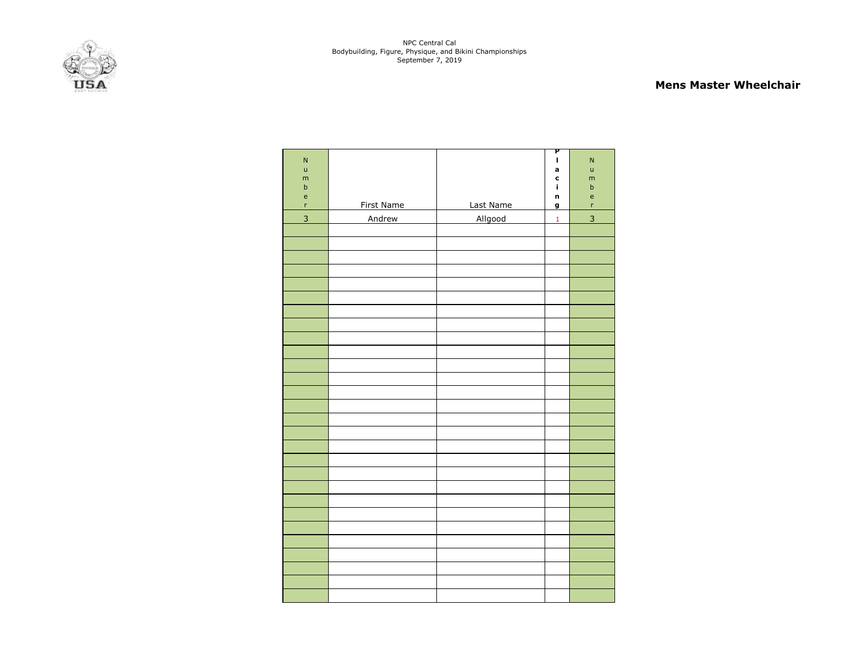#### **Mens Master Wheelchair**

| $\overline{N}$<br>$\mathsf{u}$<br>m<br>$\sf b$<br>$\mathsf{e}% _{0}\left( \mathsf{e}_{0}\right)$<br>'n | First Name | Last Name | P<br>I.<br>a<br>c<br>î.<br>n<br>g | ${\sf N}$<br>$\sf u$<br>m<br>$\sf b$<br>$\mathsf{e}% _{t}\left( t\right)$<br>'n |
|--------------------------------------------------------------------------------------------------------|------------|-----------|-----------------------------------|---------------------------------------------------------------------------------|
| 3                                                                                                      | Andrew     | Allgood   | $\mathbf{1}$                      | $\overline{3}$                                                                  |
|                                                                                                        |            |           |                                   |                                                                                 |
|                                                                                                        |            |           |                                   |                                                                                 |
|                                                                                                        |            |           |                                   |                                                                                 |
|                                                                                                        |            |           |                                   |                                                                                 |
|                                                                                                        |            |           |                                   |                                                                                 |
|                                                                                                        |            |           |                                   |                                                                                 |
|                                                                                                        |            |           |                                   |                                                                                 |
|                                                                                                        |            |           |                                   |                                                                                 |
|                                                                                                        |            |           |                                   |                                                                                 |
|                                                                                                        |            |           |                                   |                                                                                 |
|                                                                                                        |            |           |                                   |                                                                                 |
|                                                                                                        |            |           |                                   |                                                                                 |
|                                                                                                        |            |           |                                   |                                                                                 |
|                                                                                                        |            |           |                                   |                                                                                 |
|                                                                                                        |            |           |                                   |                                                                                 |
|                                                                                                        |            |           |                                   |                                                                                 |
|                                                                                                        |            |           |                                   |                                                                                 |
|                                                                                                        |            |           |                                   |                                                                                 |
|                                                                                                        |            |           |                                   |                                                                                 |
|                                                                                                        |            |           |                                   |                                                                                 |
|                                                                                                        |            |           |                                   |                                                                                 |
|                                                                                                        |            |           |                                   |                                                                                 |
|                                                                                                        |            |           |                                   |                                                                                 |
|                                                                                                        |            |           |                                   |                                                                                 |
|                                                                                                        |            |           |                                   |                                                                                 |
|                                                                                                        |            |           |                                   |                                                                                 |
|                                                                                                        |            |           |                                   |                                                                                 |
|                                                                                                        |            |           |                                   |                                                                                 |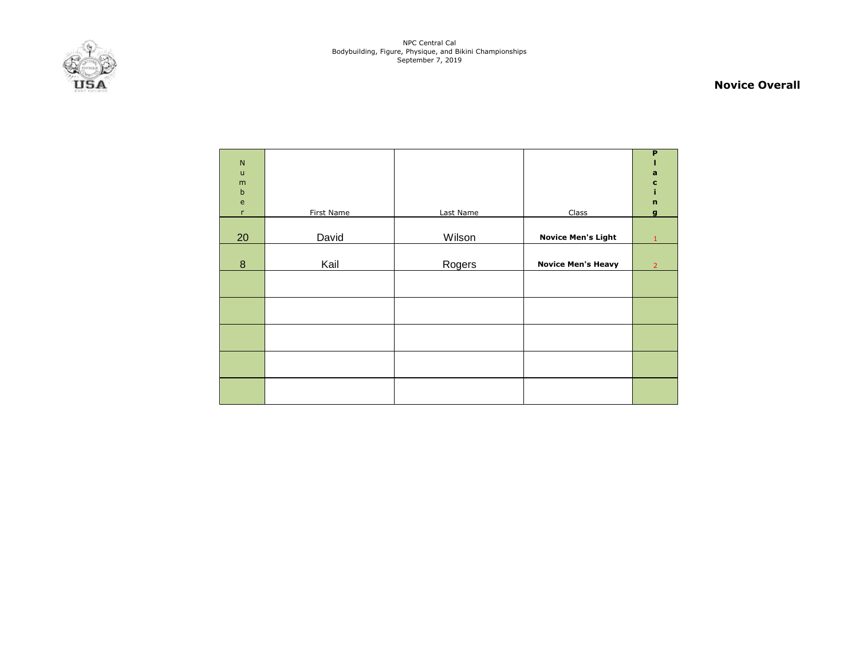

#### **Novice Overall**

| $\mathsf{N}$<br>$\mathsf{u}%$<br>m<br>$\sf b$ |            |           |                           | P<br>a<br>c<br>i            |
|-----------------------------------------------|------------|-----------|---------------------------|-----------------------------|
| $\mathsf{e}% _{t}\left( t\right)$<br>r        | First Name | Last Name | Class                     | $\mathbf n$<br>$\mathbf{g}$ |
| 20                                            | David      | Wilson    | <b>Novice Men's Light</b> | 1                           |
| $\bf 8$                                       | Kail       | Rogers    | <b>Novice Men's Heavy</b> | $\overline{2}$              |
|                                               |            |           |                           |                             |
|                                               |            |           |                           |                             |
|                                               |            |           |                           |                             |
|                                               |            |           |                           |                             |
|                                               |            |           |                           |                             |